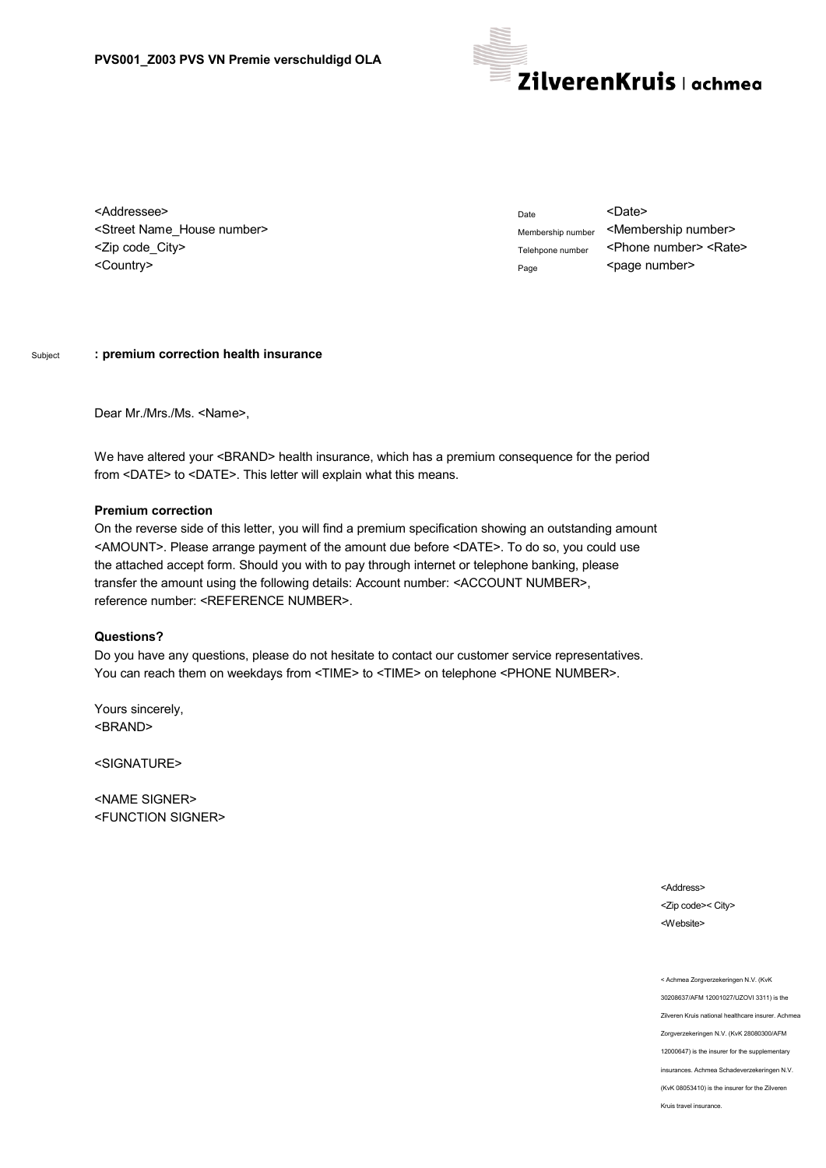

<Addressee> <Street Name\_House number> <Zip code\_City> <Country>

Date <Date> Membership number <Membership number> Telehpone number <Phone number> <Rate> Page <page number>

## Subject **: premium correction health insurance**

Dear Mr./Mrs./Ms. <Name>,

We have altered your <BRAND> health insurance, which has a premium consequence for the period from <DATE> to <DATE>. This letter will explain what this means.

## **Premium correction**

On the reverse side of this letter, you will find a premium specification showing an outstanding amount <AMOUNT>. Please arrange payment of the amount due before <DATE>. To do so, you could use the attached accept form. Should you with to pay through internet or telephone banking, please transfer the amount using the following details: Account number: <ACCOUNT NUMBER>, reference number: <REFERENCE NUMBER>.

## **Questions?**

Do you have any questions, please do not hesitate to contact our customer service representatives. You can reach them on weekdays from <TIME> to <TIME> on telephone <PHONE NUMBER>.

Yours sincerely, <BRAND>

<SIGNATURE>

<NAME SIGNER> <FUNCTION SIGNER>

> <Address> <Zip code>< City> <Website>

< Achmea Zorgverzekeringen N.V. (KvK 30208637/AFM 12001027/UZOVI 3311) is the Zilveren Kruis national healthcare insurer. Achmea Zorgverzekeringen N.V. (KvK 28080300/AFM 12000647) is the insurer for the supplementary insurances. Achmea Schadeverzekeringen N.V. (KvK 08053410) is the insurer for the Zilveren Kruis travel insurance.